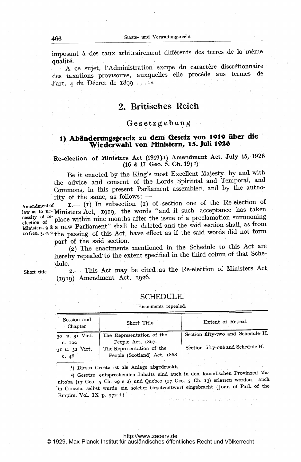imposant à des taux arbitrairement différents des terres de la même qualité.

A ce sujet, l'Administration excipe du caractère discrétionnaire des taxations provisoires, auxquelles elle procède aus termes de l'art. 4 du Décret de 1899 .....

# 2. Britisches Reich

## Gesetzgebung

# 1) Abänderungsgesetz zu dem Gesetz von 1919 über die Wiederwahl von'Ministern, 13. Juli 1926

Re-election of Ministers Act (1919)<sup>1</sup>) Amendment Act. July 15, 1926  $(16 \& 17 \text{ Geo. } 5. \text{ Ch. } 19)$ <sup>2</sup>)

Be it enacted by the King's most Excellent Majesty, by and with the advice and consent of the Lords Spiritual and Temporal, and Commons, in this present Parliament assembled, and by the autho-<br>rity of the same, as follows:  $-$ 

rity of the same, as follows:  $-$ <br>Amendment of  $I.$  (I) In subsection (I) of section one of the Re-election of  $\frac{L}{\text{law as to net}}$  Ministers Act, 1919, the words "and if such acceptance has taken essity of re-<br>election of place within nine months after the issue of a proclamation summoning<br>election of place within  $\frac{1}{2}$ . Ministers. 9 & a new Parliament" shall be deleted and the said section shall, as from zo Geo. 5. C. <sup>2</sup> the passing of this Act, have effect as if the said words did not form part of the said section.

(9.) The enactments mentioned in the Schedule to this Act are hereby repealed to the extent specified in the third colum of that Schedule.

Short title 2.- This Act may be cited as the Re-election of Ministers Act  $(1919)$  Amendment Act, 1926.

## SCHEDULE.

#### Enactments repealed.

| Session and<br>Chapter                                        | Short Title.                                                                                               | Extent of Repeal.                                                      |
|---------------------------------------------------------------|------------------------------------------------------------------------------------------------------------|------------------------------------------------------------------------|
| 30 u. 31 Vict.<br>C. 102<br>31 u. 32 Vict.<br>$\ldots$ c. 48. | The Representation of the<br>People Act, 1867.<br>The Representation of the<br>People (Scotland) Act, 1868 | Section fifty-two and Schedule H.<br>Section fifty-one and Schedule H. |

11) Dieses Gesetz ist als Anlage abgedruckt.

2) Gesetze entsprechenden Inhalts sind auch in den kanadischen Provinzen Manitoba (17 Geo. 5 Ch. 29 s 2) und Quebec (17 Geo. 5 Ch. 13) erlassen worden; auch ,in Canada selbst wurde ein solcher Gesetzentwurf eingebracht (Jour. of Parl. of the In Canada sense white

#### <http://www.zaoerv.de>

© 1929, Max-Planck-Institut für ausländisches öffentliches Recht und Völkerrecht

466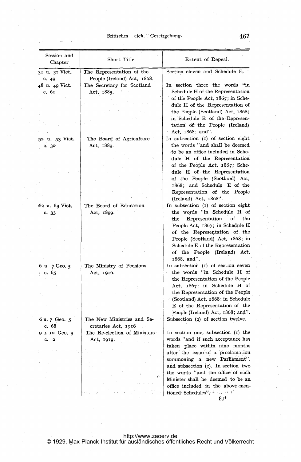## Britisches eich. Gesetzgebung. 467

| Session and<br>Chapter | Short Title.                 | Extent of Repeal.                                    |
|------------------------|------------------------------|------------------------------------------------------|
| 31 u. 32 Vict.         | The Representation of the    | Section eleven and Schedule E.                       |
| c.49                   | People (Ireland) Act, 1868.  |                                                      |
| 48 u. 49 Vict.         | The Secretary for Scotland   | In section three the words "in                       |
| с. 61                  | Act, 1885.                   | Schedule H of the Representation                     |
|                        |                              | of the People Act, 1867; in Sche-                    |
|                        |                              | dule H of the Representation of                      |
|                        |                              | the People (Scotland) Act, 1868;                     |
|                        |                              | in Schedule E of the Represen-                       |
|                        |                              | tation of the People (Ireland)                       |
|                        |                              | Act, 1868; and".                                     |
| 52 u. 53 Vict.         | The Board of Agriculture     | In subsection (1) of section eight                   |
| c.30                   | Act, 1889.                   | the words "and shall be deemed                       |
|                        |                              | to be an office included in Sche-                    |
|                        |                              | dule H of the Representation                         |
|                        |                              | of the People Act, 1867; Sche-                       |
|                        |                              | dule H of the Representation                         |
|                        |                              | of the People (Scotland) Act,                        |
|                        |                              | 1868; and Schedule E of the                          |
|                        |                              |                                                      |
|                        |                              | Representation of the People                         |
|                        |                              | (Ireland) Act, 1868".                                |
| 62 u. 63 Vict.         | The Board of Education       | In subsection (1) of section eight                   |
| c.33                   | Act, 1899.                   | the words "in Schedule H of                          |
|                        |                              | of<br>Representation<br>$_{\rm the}$<br>$_{\rm the}$ |
|                        |                              | People Act, 1867; in Schedule H                      |
|                        |                              | of the Representation of the                         |
|                        |                              | People (Scotland) Act, 1868; in                      |
|                        |                              | Schedule E of the Representation                     |
|                        |                              | of the People (Ireland)<br>Act,                      |
|                        |                              | 1868, and".                                          |
| 6 u. 7 Geo. 5          | The Ministry of Pensions     | In subsection (1) of section seven                   |
| ∴ c. 65                | Act, 1916.                   | the words "in Schedule H of                          |
|                        |                              | the Representation of the People                     |
|                        |                              | Act, 1867: in Schedule H of                          |
|                        |                              | the Representation of the People                     |
|                        |                              | (Scotland) Act, 1868; in Schedule                    |
|                        |                              | E of the Representation of the                       |
|                        |                              | People (Ireland) Act, 1868; and".                    |
| 6 u. 7 Geo. 5          | The New Ministries and Se-   | Subsection $(2)$ of section twelve.                  |
| c. 68                  | cretaries Act, 1916          |                                                      |
| 9 u. 10 Geo, 5         | The Re-election of Ministers | In section one, subsection (1) the                   |
| c. 2                   | Act, 1919.                   | words "and if such acceptance has                    |
|                        |                              | taken place within nine months                       |
|                        |                              | after the issue of a proclamation                    |
|                        |                              | summoning a new Parliament",                         |
|                        |                              | and subsection $(2)$ . In section two                |
|                        |                              | the words "and the office of such                    |
|                        |                              | Minister shall be deemed to be an                    |
|                        |                              |                                                      |
|                        |                              | office included in the above-men-                    |
|                        |                              |                                                      |

 $\ddot{\phantom{a}}$ 

30\*